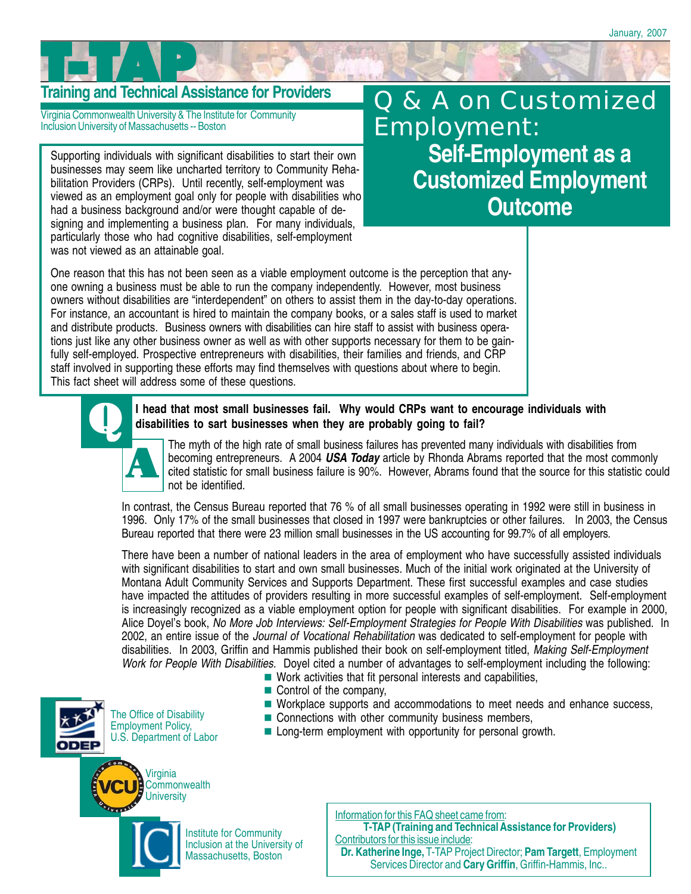# **Training and Technical Assistance for Providers**

Virginia Commonwealth University & The Institute for Community Inclusion University of Massachusetts -- Boston

Supporting individuals with significant disabilities to start their own businesses may seem like uncharted territory to Community Rehabilitation Providers (CRPs). Until recently, self-employment was viewed as an employment goal only for people with disabilities who had a business background and/or were thought capable of designing and implementing a business plan. For many individuals, particularly those who had cognitive disabilities, self-employment was not viewed as an attainable goal.

## Q & A on Customized Employment: **Self-Employment as a Customized Employment Outcome**

One reason that this has not been seen as a viable employment outcome is the perception that anyone owning a business must be able to run the company independently. However, most business owners without disabilities are "interdependent" on others to assist them in the day-to-day operations. For instance, an accountant is hired to maintain the company books, or a sales staff is used to market and distribute products. Business owners with disabilities can hire staff to assist with business operations just like any other business owner as well as with other supports necessary for them to be gainfully self-employed. Prospective entrepreneurs with disabilities, their families and friends, and CRP staff involved in supporting these efforts may find themselves with questions about where to begin. This fact sheet will address some of these questions.



#### I head that most small businesses fail. Why would CRPs want to encourage individuals with **disabilities to sart businesses when they are probably going to fail?**

. cited statistic for small business failure is 90%. However, Abrams found that the source for this statistic could The myth of the high rate of small business failures has prevented many individuals with disabilities from becoming entrepreneurs. A 2004 *USA Today* article by Rhonda Abrams reported that the most commonly not be identified.

In contrast, the Census Bureau reported that 76 % of all small businesses operating in 1992 were still in business in 1996. Only 17% of the small businesses that closed in 1997 were bankruptcies or other failures. In 2003, the Census Bureau reported that there were 23 million small businesses in the US accounting for 99.7% of all employers.

There have been a number of national leaders in the area of employment who have successfully assisted individuals with significant disabilities to start and own small businesses. Much of the initial work originated at the University of Montana Adult Community Services and Supports Department. These first successful examples and case studies have impacted the attitudes of providers resulting in more successful examples of self-employment. Self-employment is increasingly recognized as a viable employment option for people with significant disabilities. For example in 2000, Alice Doyel's book, *No More Job Interviews: Self-Employment Strategies for People With Disabilities* was published. In 2002, an entire issue of the *Journal of Vocational Rehabilitation* was dedicated to self-employment for people with disabilities. In 2003, Griffin and Hammis published their book on self-employment titled, *Making Self-Employment Work for People With Disabilities.* Doyel cited a number of advantages to self-employment including the following:

- Work activities that fit personal interests and capabilities,
- Control of the company,



■ Connections with other community business members,



The Office of Disability Employment Policy, U.S. Department of Labor

**Long-term employment with opportunity for personal growth.** 



Institute for Community Inclusion at the University of Massachusetts, Boston

Information for this FAQ sheet came from: **T-TAP (Training and Technical Assistance for Providers)** Contributors for this issue include: **Dr. Katherine Inge,** T-TAP Project Director; **Pam Targett**, Employment

Services Director and **Cary Griffin**, Griffin-Hammis, Inc..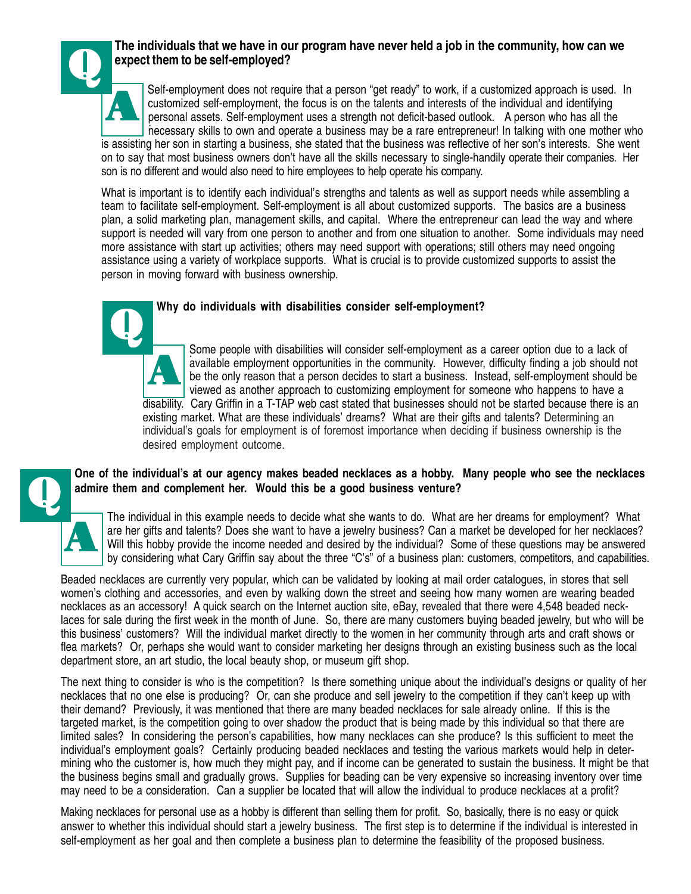

#### Q **The individuals that we have in our program have never held a job in the community, how can we expect them to be self-employed?**

personal assets. Self-employment uses a strength not deficit-based outlook. A person who has all the<br>personal alilla to sum and energies a business may be a rare antreases will be talling with and mathe Self-employment does not require that a person "get ready" to work, if a customized approach is used. In customized self-employment, the focus is on the talents and interests of the individual and identifying necessary skills to own and operate a business may be a rare entrepreneur! In talking with one mother who

is assisting her son in starting a business, she stated that the business was reflective of her son's interests. She went on to say that most business owners don't have all the skills necessary to single-handily operate their companies. Her son is no different and would also need to hire employees to help operate his company.

What is important is to identify each individual's strengths and talents as well as support needs while assembling a team to facilitate self-employment. Self-employment is all about customized supports. The basics are a business plan, a solid marketing plan, management skills, and capital. Where the entrepreneur can lead the way and where support is needed will vary from one person to another and from one situation to another. Some individuals may need more assistance with start up activities; others may need support with operations; still others may need ongoing assistance using a variety of workplace supports. What is crucial is to provide customized supports to assist the person in moving forward with business ownership.

#### Q **Why do individuals with disabilities consider self-employment?**

. Some people with disabilities will consider self-employment as a career option due to a lack of available employment opportunities in the community. However, difficulty finding a job should not be the only reason that a person decides to start a business. Instead, self-employment should be viewed as another approach to customizing employment for someone who happens to have a disability. Cary Griffin in a T-TAP web cast stated that businesses should not be started because there is an existing market. What are these individuals' dreams? What are their gifts and talents? Determining an individual's goals for employment is of foremost importance when deciding if business ownership is the desired employment outcome. A

#### Q **One of the individual's at our agency makes beaded necklaces as a hobby. Many people who see the necklaces admire them and complement her. Would this be a good business venture?**



The individual in this example needs to decide what she wants to do. What are her dreams for employment? What are her gifts and talents? Does she want to have a jewelry business? Can a market be developed for her necklaces? Will this hobby provide the income needed and desired by the individual? Some of these questions may be answered by considering what Cary Griffin say about the three "C's" of a business plan: customers, competitors, and capabilities.

Beaded necklaces are currently very popular, which can be validated by looking at mail order catalogues, in stores that sell women's clothing and accessories, and even by walking down the street and seeing how many women are wearing beaded necklaces as an accessory! A quick search on the Internet auction site, eBay, revealed that there were 4,548 beaded necklaces for sale during the first week in the month of June. So, there are many customers buying beaded jewelry, but who will be this business' customers? Will the individual market directly to the women in her community through arts and craft shows or flea markets? Or, perhaps she would want to consider marketing her designs through an existing business such as the local department store, an art studio, the local beauty shop, or museum gift shop.

The next thing to consider is who is the competition? Is there something unique about the individual's designs or quality of her necklaces that no one else is producing? Or, can she produce and sell jewelry to the competition if they can't keep up with their demand? Previously, it was mentioned that there are many beaded necklaces for sale already online. If this is the targeted market, is the competition going to over shadow the product that is being made by this individual so that there are limited sales? In considering the person's capabilities, how many necklaces can she produce? Is this sufficient to meet the individual's employment goals? Certainly producing beaded necklaces and testing the various markets would help in determining who the customer is, how much they might pay, and if income can be generated to sustain the business. It might be that the business begins small and gradually grows. Supplies for beading can be very expensive so increasing inventory over time may need to be a consideration. Can a supplier be located that will allow the individual to produce necklaces at a profit?

Making necklaces for personal use as a hobby is different than selling them for profit. So, basically, there is no easy or quick answer to whether this individual should start a jewelry business. The first step is to determine if the individual is interested in self-employment as her goal and then complete a business plan to determine the feasibility of the proposed business.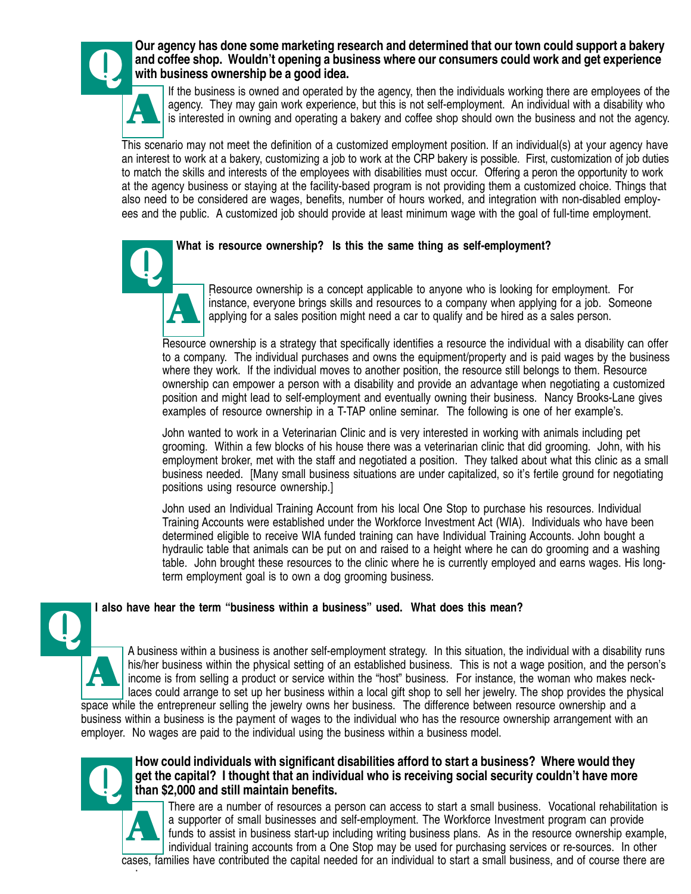

#### Our agency has done some marketing research and determined that our town could support a bakery<br>and coffee shop. Wouldn't opening a business where our consumers could work and get experience<br>with business ownership be a go **and coffee shop. Wouldn't opening a business where our consumers could work and get experience with business ownership be a good idea.**

If the business is owned and operated by the agency, then the individuals working there are employees of the agency. They may gain work experience, but this is not self-employment. An individual with a disability who is interested in owning and operating a bakery and coffee shop should own the business and not the agency.

This scenario may not meet the definition of a customized employment position. If an individual(s) at your agency have an interest to work at a bakery, customizing a job to work at the CRP bakery is possible. First, customization of job duties to match the skills and interests of the employees with disabilities must occur. Offering a peron the opportunity to work at the agency business or staying at the facility-based program is not providing them a customized choice. Things that also need to be considered are wages, benefits, number of hours worked, and integration with non-disabled employees and the public. A customized job should provide at least minimum wage with the goal of full-time employment.

#### Q **What is resource ownership? Is this the same thing as self-employment?**



. Resource ownership is a concept applicable to anyone who is looking for employment. For instance, everyone brings skills and resources to a company when applying for a job. Someone applying for a sales position might need a car to qualify and be hired as a sales person.

Resource ownership is a strategy that specifically identifies a resource the individual with a disability can offer to a company. The individual purchases and owns the equipment/property and is paid wages by the business where they work. If the individual moves to another position, the resource still belongs to them. Resource ownership can empower a person with a disability and provide an advantage when negotiating a customized position and might lead to self-employment and eventually owning their business. Nancy Brooks-Lane gives examples of resource ownership in a T-TAP online seminar. The following is one of her example's.

John wanted to work in a Veterinarian Clinic and is very interested in working with animals including pet grooming. Within a few blocks of his house there was a veterinarian clinic that did grooming. John, with his employment broker, met with the staff and negotiated a position. They talked about what this clinic as a small business needed. [Many small business situations are under capitalized, so it's fertile ground for negotiating positions using resource ownership.]

John used an Individual Training Account from his local One Stop to purchase his resources. Individual Training Accounts were established under the Workforce Investment Act (WIA). Individuals who have been determined eligible to receive WIA funded training can have Individual Training Accounts. John bought a hydraulic table that animals can be put on and raised to a height where he can do grooming and a washing table. John brought these resources to the clinic where he is currently employed and earns wages. His longterm employment goal is to own a dog grooming business.

#### **I also have hear the term "business within a business" used. What does this mean?**

A business within a business is another self-employment strategy. In this situation, the individual with a disability runs his/her business within the physical setting of an established business. This is not a wage position, and the person's income is from selling a product or service within the "host" business. For instance, the woman who makes necklaces could arrange to set up her business within a local gift shop to sell her jewelry. The shop provides the physical space while the entrepreneur selling the jewelry owns her business. The difference between resource ownership and a business within a business is the payment of wages to the individual who has the resource ownership arrangement with an employer. No wages are paid to the individual using the business within a business model. A



Q

#### How could individuals with significant disabilities afford to start a business? Where would they get the capital? I thought that an individual who is receiving social security couldn't have more than \$2,000 and still maint **get the capital? I thought that an individual who is receiving social security couldn't have more than \$2,000 and still maintain benefits.**

. cases, families have contributed the capital needed for an individual to start a small business, and of course there are There are a number of resources a person can access to start a small business. Vocational rehabilitation is a supporter of small businesses and self-employment. The Workforce Investment program can provide funds to assist in business start-up including writing business plans. As in the resource ownership example, individual training accounts from a One Stop may be used for purchasing services or re-sources. In other